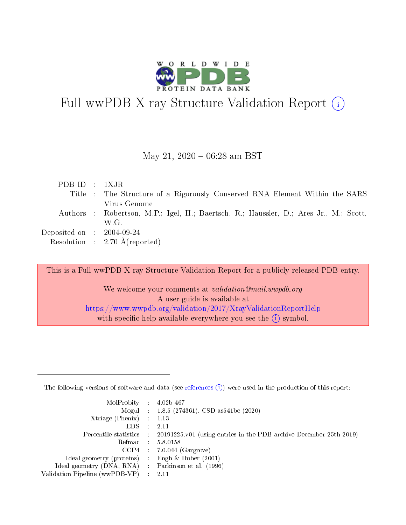

# Full wwPDB X-ray Structure Validation Report (i)

#### May 21,  $2020 - 06:28$  am BST

| PDBID : 1XJR                         |                                                                                       |
|--------------------------------------|---------------------------------------------------------------------------------------|
|                                      | Title : The Structure of a Rigorously Conserved RNA Element Within the SARS           |
|                                      | Virus Genome                                                                          |
|                                      | Authors : Robertson, M.P.; Igel, H.; Baertsch, R.; Haussler, D.; Ares Jr., M.; Scott, |
|                                      | W.G.                                                                                  |
| Deposited on $\therefore$ 2004-09-24 |                                                                                       |
|                                      | Resolution : $2.70 \text{ Å}$ (reported)                                              |

This is a Full wwPDB X-ray Structure Validation Report for a publicly released PDB entry.

We welcome your comments at validation@mail.wwpdb.org A user guide is available at <https://www.wwpdb.org/validation/2017/XrayValidationReportHelp> with specific help available everywhere you see the  $(i)$  symbol.

The following versions of software and data (see [references](https://www.wwpdb.org/validation/2017/XrayValidationReportHelp#references)  $(1)$ ) were used in the production of this report:

| $MolProbability$ : 4.02b-467                        |               |                                                                                            |
|-----------------------------------------------------|---------------|--------------------------------------------------------------------------------------------|
|                                                     |               | Mogul : $1.8.5$ (274361), CSD as 541be (2020)                                              |
| Xtriage (Phenix) $: 1.13$                           |               |                                                                                            |
| EDS.                                                | $\mathcal{L}$ | 2.11                                                                                       |
|                                                     |               | Percentile statistics : 20191225.v01 (using entries in the PDB archive December 25th 2019) |
| Refmac 5.8.0158                                     |               |                                                                                            |
|                                                     |               | $CCP4$ : 7.0.044 (Gargrove)                                                                |
| Ideal geometry (proteins)                           |               | Engh $\&$ Huber (2001)                                                                     |
| Ideal geometry (DNA, RNA) : Parkinson et al. (1996) |               |                                                                                            |
| Validation Pipeline (wwPDB-VP) : 2.11               |               |                                                                                            |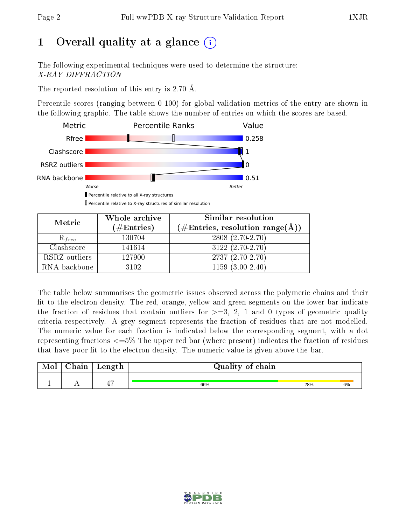# 1 [O](https://www.wwpdb.org/validation/2017/XrayValidationReportHelp#overall_quality)verall quality at a glance  $(i)$

The following experimental techniques were used to determine the structure: X-RAY DIFFRACTION

The reported resolution of this entry is 2.70 Å.

Percentile scores (ranging between 0-100) for global validation metrics of the entry are shown in the following graphic. The table shows the number of entries on which the scores are based.



| Metric        | Whole archive          | Similar resolution                                  |  |  |  |  |
|---------------|------------------------|-----------------------------------------------------|--|--|--|--|
|               | $(\#\mathrm{Entries})$ | $(\# \text{Entries}, \text{resolution range}(\AA))$ |  |  |  |  |
| $R_{free}$    | 130704                 | $2808(2.70-2.70)$                                   |  |  |  |  |
| Clashscore    | 141614                 | $3122(2.70-2.70)$                                   |  |  |  |  |
| RSRZ outliers | 127900                 | $2737(2.70-2.70)$                                   |  |  |  |  |
| RNA backbone  | 3102                   | $1159(3.00-2.40)$                                   |  |  |  |  |

The table below summarises the geometric issues observed across the polymeric chains and their fit to the electron density. The red, orange, yellow and green segments on the lower bar indicate the fraction of residues that contain outliers for  $\geq=3$ , 2, 1 and 0 types of geometric quality criteria respectively. A grey segment represents the fraction of residues that are not modelled. The numeric value for each fraction is indicated below the corresponding segment, with a dot representing fractions  $\epsilon = 5\%$  The upper red bar (where present) indicates the fraction of residues that have poor fit to the electron density. The numeric value is given above the bar.

| <b>TATOT</b> | nin | Length | Quality of chain |     |    |  |  |  |  |
|--------------|-----|--------|------------------|-----|----|--|--|--|--|
|              |     | ж.     | 66%              | 28% | 6% |  |  |  |  |

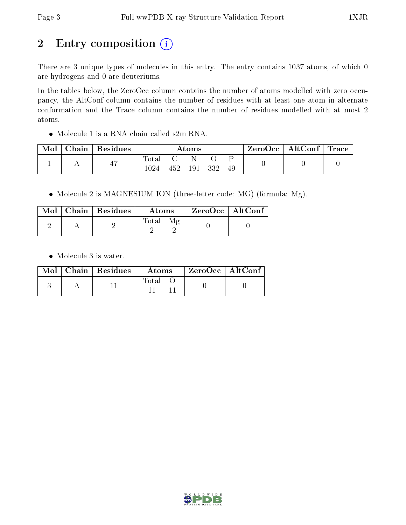# 2 Entry composition (i)

There are 3 unique types of molecules in this entry. The entry contains 1037 atoms, of which 0 are hydrogens and 0 are deuteriums.

In the tables below, the ZeroOcc column contains the number of atoms modelled with zero occupancy, the AltConf column contains the number of residues with at least one atom in alternate conformation and the Trace column contains the number of residues modelled with at most 2 atoms.

Molecule 1 is a RNA chain called s2m RNA.

| Mol | Chain | Residues | Atoms  |     |     |    | $\rm ZeroOcc$   Alt $\rm Conf$   Trace |  |  |
|-----|-------|----------|--------|-----|-----|----|----------------------------------------|--|--|
|     |       | 47       | l'otal |     |     |    |                                        |  |  |
|     |       | 1024     | 452    | 191 | 332 | 49 |                                        |  |  |

• Molecule 2 is MAGNESIUM ION (three-letter code: MG) (formula: Mg).

|  | Mol   Chain   Residues | Atoms | $\mid$ ZeroOcc $\mid$ AltConf $\mid$ |
|--|------------------------|-------|--------------------------------------|
|  |                        | Total |                                      |

• Molecule 3 is water.

|  | $\text{Mol}$   Chain   Residues | Atoms | $ZeroOcc \mid AltConf \mid$ |
|--|---------------------------------|-------|-----------------------------|
|  |                                 | Total |                             |

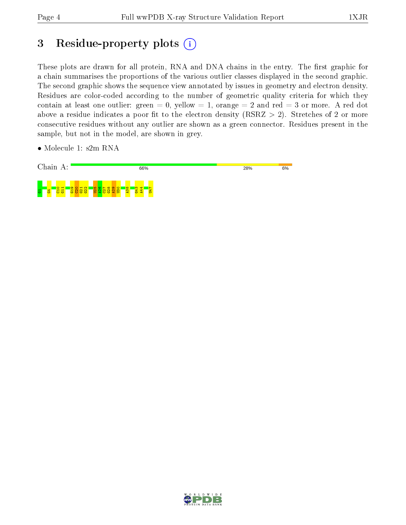# 3 Residue-property plots (i)

These plots are drawn for all protein, RNA and DNA chains in the entry. The first graphic for a chain summarises the proportions of the various outlier classes displayed in the second graphic. The second graphic shows the sequence view annotated by issues in geometry and electron density. Residues are color-coded according to the number of geometric quality criteria for which they contain at least one outlier: green  $= 0$ , yellow  $= 1$ , orange  $= 2$  and red  $= 3$  or more. A red dot above a residue indicates a poor fit to the electron density (RSRZ  $> 2$ ). Stretches of 2 or more consecutive residues without any outlier are shown as a green connector. Residues present in the sample, but not in the model, are shown in grey.

• Molecule 1: s2m RNA



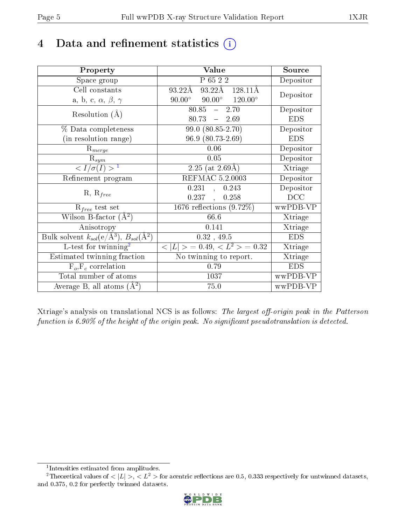# 4 Data and refinement statistics  $(i)$

| Property                                                   | Value                                             | Source     |
|------------------------------------------------------------|---------------------------------------------------|------------|
| Space group                                                | P 65 2 2                                          | Depositor  |
| Cell constants                                             | $93.22A$ 128.11Å<br>$93.22\text{\AA}$             | Depositor  |
| a, b, c, $\alpha$ , $\beta$ , $\gamma$                     | $90.00^{\circ}$ $120.00^{\circ}$<br>$90.00^\circ$ |            |
| Resolution $(A)$                                           | 80.85<br>$-2.70$                                  | Depositor  |
|                                                            | $80.73 - 2.69$                                    | <b>EDS</b> |
| % Data completeness                                        | 99.0 (80.85-2.70)                                 | Depositor  |
| (in resolution range)                                      | 96.9 (80.73-2.69)                                 | <b>EDS</b> |
| $R_{merge}$                                                | 0.06                                              | Depositor  |
| $\mathrm{R}_{sym}$                                         | 0.05                                              | Depositor  |
| $\langle I/\sigma(I) \rangle^{-1}$                         | $2.25$ (at $2.69\text{\AA}$ )                     | Xtriage    |
| Refinement program                                         | <b>REFMAC 5.2.0003</b>                            | Depositor  |
| $R, R_{free}$                                              | 0.231<br>0.243<br>$\overline{\phantom{a}}$        | Depositor  |
|                                                            | 0.237<br>0.258<br>$\ddot{\phantom{a}}$            | DCC        |
| $R_{free}$ test set                                        | 1676 reflections $(9.72\%)$                       | wwPDB-VP   |
| Wilson B-factor $(\AA^2)$                                  | 66.6                                              | Xtriage    |
| Anisotropy                                                 | 0.141                                             | Xtriage    |
| Bulk solvent $k_{sol}$ (e/Å <sup>3</sup> ), $B_{sol}(A^2)$ | $0.32$ , 49.5                                     | <b>EDS</b> |
| L-test for twinning <sup>2</sup>                           | $< L >$ = 0.49, $< L^2 >$ = 0.32                  | Xtriage    |
| Estimated twinning fraction                                | No twinning to report.                            | Xtriage    |
| $F_o, F_c$ correlation                                     | 0.79                                              | <b>EDS</b> |
| Total number of atoms                                      | 1037                                              | wwPDB-VP   |
| Average B, all atoms $(A^2)$                               | 75.0                                              | wwPDB-VP   |

Xtriage's analysis on translational NCS is as follows: The largest off-origin peak in the Patterson function is  $6.90\%$  of the height of the origin peak. No significant pseudotranslation is detected.

<sup>&</sup>lt;sup>2</sup>Theoretical values of  $\langle |L| \rangle$ ,  $\langle L^2 \rangle$  for acentric reflections are 0.5, 0.333 respectively for untwinned datasets, and 0.375, 0.2 for perfectly twinned datasets.



<span id="page-4-1"></span><span id="page-4-0"></span><sup>1</sup> Intensities estimated from amplitudes.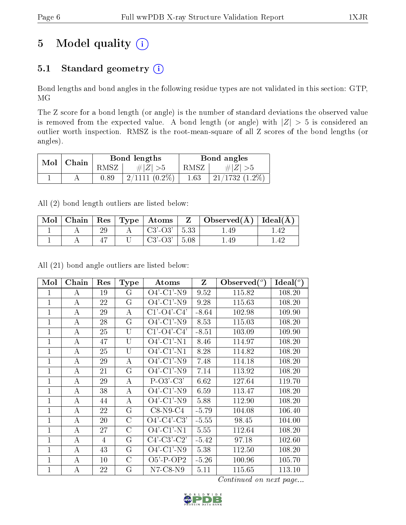# 5 Model quality  $(i)$

## 5.1 Standard geometry  $(i)$

Bond lengths and bond angles in the following residue types are not validated in this section: GTP, MG

The Z score for a bond length (or angle) is the number of standard deviations the observed value is removed from the expected value. A bond length (or angle) with  $|Z| > 5$  is considered an outlier worth inspection. RMSZ is the root-mean-square of all Z scores of the bond lengths (or angles).

| Mol | Chain |          | Bond lengths    | Bond angles |                   |  |
|-----|-------|----------|-----------------|-------------|-------------------|--|
|     |       | RMSZ     | $\ E\ $         | RMSZ        | $\pm  Z $         |  |
|     |       | $0.89\,$ | $2/1111(0.2\%)$ | $1.63\,$    | $21/1732$ (1.2\%) |  |

All (2) bond length outliers are listed below:

| Mol | Chain | $\mathbf{Res}$ | $\top$ Type   Atoms | $\overline{ }$ | Observed $(A)$ | Ideal(A) |
|-----|-------|----------------|---------------------|----------------|----------------|----------|
|     |       |                | $C3'-O3'$           |                | 1.49           |          |
|     |       |                | $C3'-O3'$           | 5.08           | $1.49\,$       |          |

All (21) bond angle outliers are listed below:

| Mol          | Chain            | Res | <b>Type</b>    | Atoms                 | $\mathbf{Z}$ | Observed $(°)$ | Ideal $(^\circ)$ |
|--------------|------------------|-----|----------------|-----------------------|--------------|----------------|------------------|
| 1            | A                | 19  | G              | $O4'$ -C1'-N9         | 9.52         | 115.82         | 108.20           |
| 1            | A                | 22  | G              | $O4'$ -C1'-N9         | 9.28         | 115.63         | 108.20           |
| 1            | $\boldsymbol{A}$ | 29  | A              | $C1'$ - $O4'$ - $C4'$ | $-8.64$      | 102.98         | 109.90           |
| $\mathbf{1}$ | $\boldsymbol{A}$ | 28  | G              | $O4'$ -C1'-N9         | 8.53         | 115.03         | 108.20           |
| $\mathbf{1}$ | A                | 25  | U              | $C1'$ - $O4'$ - $C4'$ | $-8.51$      | 103.09         | 109.90           |
| $\mathbf{1}$ | $\bf{A}$         | 47  | $\overline{U}$ | $O4'$ -C1'-N1         | 8.46         | 114.97         | 108.20           |
| $\mathbf{1}$ | $\boldsymbol{A}$ | 25  | $\overline{U}$ | $O4'$ -C1'-N1         | 8.28         | 114.82         | 108.20           |
| $\mathbf{1}$ | A                | 29  | A              | $O4'$ -C1'-N9         | 7.48         | 114.18         | 108.20           |
| 1            | A                | 21  | G              | $O4'$ -C1'-N9         | 7.14         | 113.92         | 108.20           |
| $\mathbf{1}$ | $\boldsymbol{A}$ | 29  | A              | $P-O3'-C3'$           | 6.62         | 127.64         | 119.70           |
| $\mathbf{1}$ | A                | 38  | A              | $O4'$ -C1'-N9         | 6.59         | 113.47         | 108.20           |
| $\mathbf{1}$ | $\bf{A}$         | 44  | A              | $O4'$ -C1'-N9         | 5.88         | 112.90         | 108.20           |
| $\mathbf 1$  | $\bf{A}$         | 22  | $\rm G$        | $C8-N9-C4$            | $-5.79$      | 104.08         | 106.40           |
| $\mathbf 1$  | $\boldsymbol{A}$ | 20  | $\mathcal{C}$  | $O4'-C4'-C3'$         | $-5.55$      | 98.45          | 104.00           |
| 1            | A                | 27  | $\rm C$        | $O4'$ -C1'-N1         | 5.55         | 112.64         | 108.20           |
| 1            | A                | 4   | G              | $C4'-C3'-C2'$         | $-5.42$      | 97.18          | 102.60           |
| 1            | А                | 43  | G              | $O4'$ -C1'-N9         | 5.38         | 112.50         | 108.20           |
| 1            | А                | 10  | С              | $O5'$ -P-OP2          | $-5.26$      | 100.96         | 105.70           |
| $\mathbf 1$  | A                | 22  | G              | $N7$ -C8- $N9$        | 5.11         | 115.65         | 113.10           |

Continued on next page...

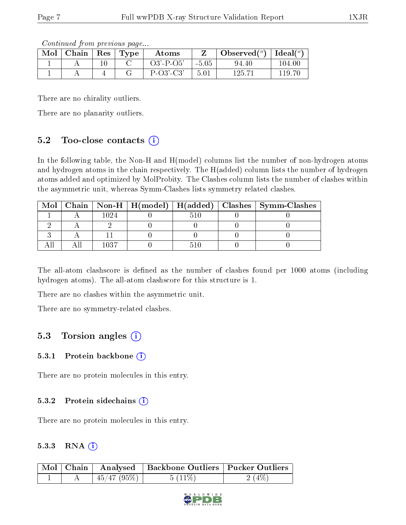Continued from previous page...

| Mol | Chain | Res | $\mathbf{Type}$ | Atoms           |         | Observed $(°)$ | Ideal $(°)$ |
|-----|-------|-----|-----------------|-----------------|---------|----------------|-------------|
|     |       |     |                 | $O3'$ -P- $O5'$ | $-5.05$ | 94.40          | $104.00\,$  |
|     |       |     |                 | $P-O3'-C3'$     | 5.01    | 125.71         | 119.70      |

There are no chirality outliers.

There are no planarity outliers.

### 5.2 Too-close contacts  $(i)$

In the following table, the Non-H and H(model) columns list the number of non-hydrogen atoms and hydrogen atoms in the chain respectively. The H(added) column lists the number of hydrogen atoms added and optimized by MolProbity. The Clashes column lists the number of clashes within the asymmetric unit, whereas Symm-Clashes lists symmetry related clashes.

|  |      |  | Mol   Chain   Non-H   H(model)   H(added)   Clashes   Symm-Clashes |
|--|------|--|--------------------------------------------------------------------|
|  |      |  |                                                                    |
|  |      |  |                                                                    |
|  |      |  |                                                                    |
|  | ۱۸۹7 |  |                                                                    |

The all-atom clashscore is defined as the number of clashes found per 1000 atoms (including hydrogen atoms). The all-atom clashscore for this structure is 1.

There are no clashes within the asymmetric unit.

There are no symmetry-related clashes.

## 5.3 Torsion angles  $(i)$

#### 5.3.1 Protein backbone  $(i)$

There are no protein molecules in this entry.

#### 5.3.2 Protein sidechains (i)

There are no protein molecules in this entry.

#### 5.3.3 RNA  $(i)$

|  |             | Mol   Chain   Analysed   Backbone Outliers   Pucker Outliers |          |
|--|-------------|--------------------------------------------------------------|----------|
|  | 145/47(95%) | $5(11\%)$                                                    | $2(4\%)$ |

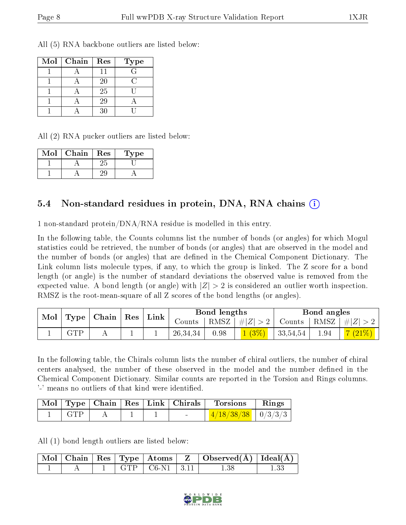All (5) RNA backbone outliers are listed below:

| Mol | Chain | Res | <b>Type</b> |
|-----|-------|-----|-------------|
|     |       |     |             |
|     |       | 20  |             |
|     |       | 25  |             |
|     |       | 29  |             |
|     |       | 30  |             |

All (2) RNA pucker outliers are listed below:

| Mol | Chain | Res | Type |
|-----|-------|-----|------|
|     |       | 25  |      |
|     |       |     |      |

### 5.4 Non-standard residues in protein, DNA, RNA chains (i)

1 non-standard protein/DNA/RNA residue is modelled in this entry.

In the following table, the Counts columns list the number of bonds (or angles) for which Mogul statistics could be retrieved, the number of bonds (or angles) that are observed in the model and the number of bonds (or angles) that are defined in the Chemical Component Dictionary. The Link column lists molecule types, if any, to which the group is linked. The Z score for a bond length (or angle) is the number of standard deviations the observed value is removed from the expected value. A bond length (or angle) with  $|Z| > 2$  is considered an outlier worth inspection. RMSZ is the root-mean-square of all Z scores of the bond lengths (or angles).

| Mol |            | $\mid$ Type $\mid$ Chain $\mid$ Res $\mid$ Link |  | Bond lengths |      |                                                            | Bond angles          |      |                 |
|-----|------------|-------------------------------------------------|--|--------------|------|------------------------------------------------------------|----------------------|------|-----------------|
|     |            |                                                 |  |              |      | Counts   RMSZ $\vert \# \vert Z \vert > 2$   Counts   RMSZ |                      |      | $ \#Z  > 2$     |
|     | <b>GTP</b> |                                                 |  | 26,34,34     | 0.98 | $1(3\%)$                                                   | $\mid 33,54,54 \mid$ | 1.94 | $\sqrt{(21\%)}$ |

In the following table, the Chirals column lists the number of chiral outliers, the number of chiral centers analysed, the number of these observed in the model and the number defined in the Chemical Component Dictionary. Similar counts are reported in the Torsion and Rings columns. '-' means no outliers of that kind were identified.

|     |  | Mol   Type   Chain   Res   Link   Chirals | <b>Torsions</b>        | Rings |
|-----|--|-------------------------------------------|------------------------|-------|
| GTP |  |                                           | $1/18/38/38$   0/3/3/3 |       |

All (1) bond length outliers are listed below:

|  |  |                                     | $\mid$ Mol $\mid$ Chain $\mid$ Res $\mid$ Type $\mid$ Atoms $\mid$ $\mid$ $\mid$ Observed(Å) $\mid$ Ideal(Å) $\mid$ |  |
|--|--|-------------------------------------|---------------------------------------------------------------------------------------------------------------------|--|
|  |  | $\mid$ GTP $\mid$ C6-N1 $\mid$ 3.11 |                                                                                                                     |  |

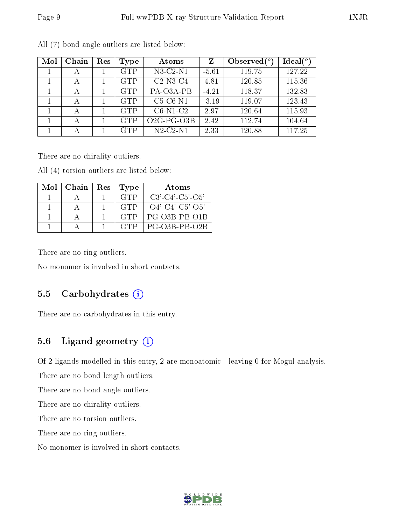| Mol | Chain | Res | Type       | Atoms                                | Ζ       | Observed $\binom{o}{c}$ | Ideal $(^\circ)$ |
|-----|-------|-----|------------|--------------------------------------|---------|-------------------------|------------------|
|     | А     |     | <b>GTP</b> | $N3-C2-N1$                           | $-5.61$ | 119.75                  | 127.22           |
|     | А     |     | <b>GTP</b> | $C2-N3-C4$                           | 4.81    | 120.85                  | 115.36           |
|     | А     |     | <b>GTP</b> | $PA$ -O3A- $\overline{PB}$           | $-4.21$ | 118.37                  | 132.83           |
|     | А     |     | <b>GTP</b> | $C5-C6-N1$                           | $-3.19$ | 119.07                  | 123.43           |
|     | А     |     | <b>GTP</b> | $C6-N1-C2$                           | 2.97    | 120.64                  | 115.93           |
|     | А     |     | <b>GTP</b> | O <sub>2</sub> G-PG-O <sub>3</sub> B | 2.42    | 112.74                  | 104.64           |
|     | А     |     | <b>GTP</b> | $N2-C2-N1$                           | 2.33    | 120.88                  | 117.25           |

All (7) bond angle outliers are listed below:

There are no chirality outliers.

All (4) torsion outliers are listed below:

| Mol | Chain | Res | Type       | Atoms              |
|-----|-------|-----|------------|--------------------|
|     |       |     | <b>GTP</b> | $C3'-C4'-C5'-O5'$  |
|     |       |     | <b>GTP</b> | $O4'$ -C4'-C5'-O5' |
|     |       |     | <b>GTP</b> | PG-03B-PB-01B      |
|     |       |     | <b>GTP</b> | PG-03B-PB-02B      |

There are no ring outliers.

No monomer is involved in short contacts.

#### 5.5 Carbohydrates  $(i)$

There are no carbohydrates in this entry.

### 5.6 Ligand geometry  $(i)$

Of 2 ligands modelled in this entry, 2 are monoatomic - leaving 0 for Mogul analysis.

There are no bond length outliers.

There are no bond angle outliers.

There are no chirality outliers.

There are no torsion outliers.

There are no ring outliers.

No monomer is involved in short contacts.

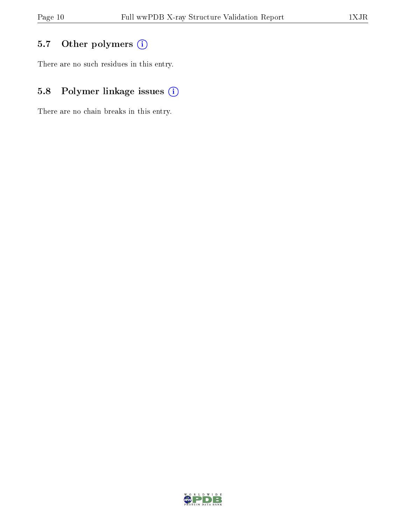## 5.7 [O](https://www.wwpdb.org/validation/2017/XrayValidationReportHelp#nonstandard_residues_and_ligands)ther polymers (i)

There are no such residues in this entry.

## 5.8 Polymer linkage issues (i)

There are no chain breaks in this entry.

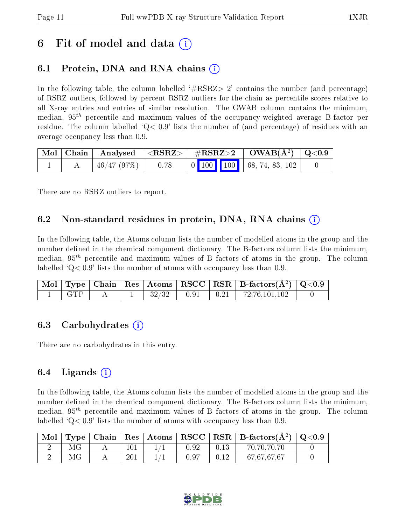# 6 Fit of model and data  $\left( \cdot \right)$

## 6.1 Protein, DNA and RNA chains (i)

In the following table, the column labelled  $#RSRZ>2'$  contains the number (and percentage) of RSRZ outliers, followed by percent RSRZ outliers for the chain as percentile scores relative to all X-ray entries and entries of similar resolution. The OWAB column contains the minimum, median,  $95<sup>th</sup>$  percentile and maximum values of the occupancy-weighted average B-factor per residue. The column labelled  $Q < 0.9$  lists the number of (and percentage) of residues with an average occupancy less than 0.9.

|  |                                |  |  | $\mid$ Mol $\mid$ Chain $\mid$ Analysed $\mid$ <rsrz> <math>\mid</math> #RSRZ&gt;2 <math>\mid</math> OWAB(Å<sup>2</sup>) <math>\mid</math> Q&lt;0.9</rsrz>                                   |  |
|--|--------------------------------|--|--|----------------------------------------------------------------------------------------------------------------------------------------------------------------------------------------------|--|
|  | $\mid$ 46/47 (97%) $\mid$ 0.78 |  |  | $\begin{array}{ c c c c c c c c } \hline \multicolumn{1}{ c }{0} & \multicolumn{1}{ c }{100} & \multicolumn{1}{ c }{100} & \multicolumn{1}{ c }{68}, \text{ 74, 83, 102} \hline \end{array}$ |  |

There are no RSRZ outliers to report.

### 6.2 Non-standard residues in protein, DNA, RNA chains  $(i)$

In the following table, the Atoms column lists the number of modelled atoms in the group and the number defined in the chemical component dictionary. The B-factors column lists the minimum, median,  $95<sup>th</sup>$  percentile and maximum values of B factors of atoms in the group. The column labelled  $Q< 0.9$ ' lists the number of atoms with occupancy less than 0.9.

|            |  |  | $\boxed{\text{ Mol} \mid \text{Type} \mid \text{Chain} \mid \text{Res} \mid \text{Atoms} \mid \text{RSCC} \mid \text{RSR} \mid \text{B-factors}(\AA^2) \mid \text{Q}<0.9}$ |  |
|------------|--|--|----------------------------------------------------------------------------------------------------------------------------------------------------------------------------|--|
| $\Box$ GTP |  |  | $\begin{array}{ c c c c c c c c c } \hline 32/32 & 0.91 & 0.21 & 72,76,101,102 \ \hline \end{array}$                                                                       |  |

### 6.3 Carbohydrates (i)

There are no carbohydrates in this entry.

### 6.4 Ligands  $(i)$

In the following table, the Atoms column lists the number of modelled atoms in the group and the number defined in the chemical component dictionary. The B-factors column lists the minimum, median,  $95<sup>th</sup>$  percentile and maximum values of B factors of atoms in the group. The column labelled  $Q< 0.9$  lists the number of atoms with occupancy less than 0.9.

| ' Mol |    |     |      |      | $\mid {\rm Type} \mid {\rm Chain} \mid {\rm Res} \mid {\rm Atoms} \mid {\rm RSCC} \mid {\rm RSR} \mid {\rm B\text{-}factors}(\rm \AA^2) \mid {\rm Q\textless}0.9$ |  |
|-------|----|-----|------|------|-------------------------------------------------------------------------------------------------------------------------------------------------------------------|--|
|       |    | 101 | 0.92 | 0.13 | 70,70,70,70                                                                                                                                                       |  |
|       | МG | 201 | 0.97 | 0.12 | 67,67,67,67                                                                                                                                                       |  |